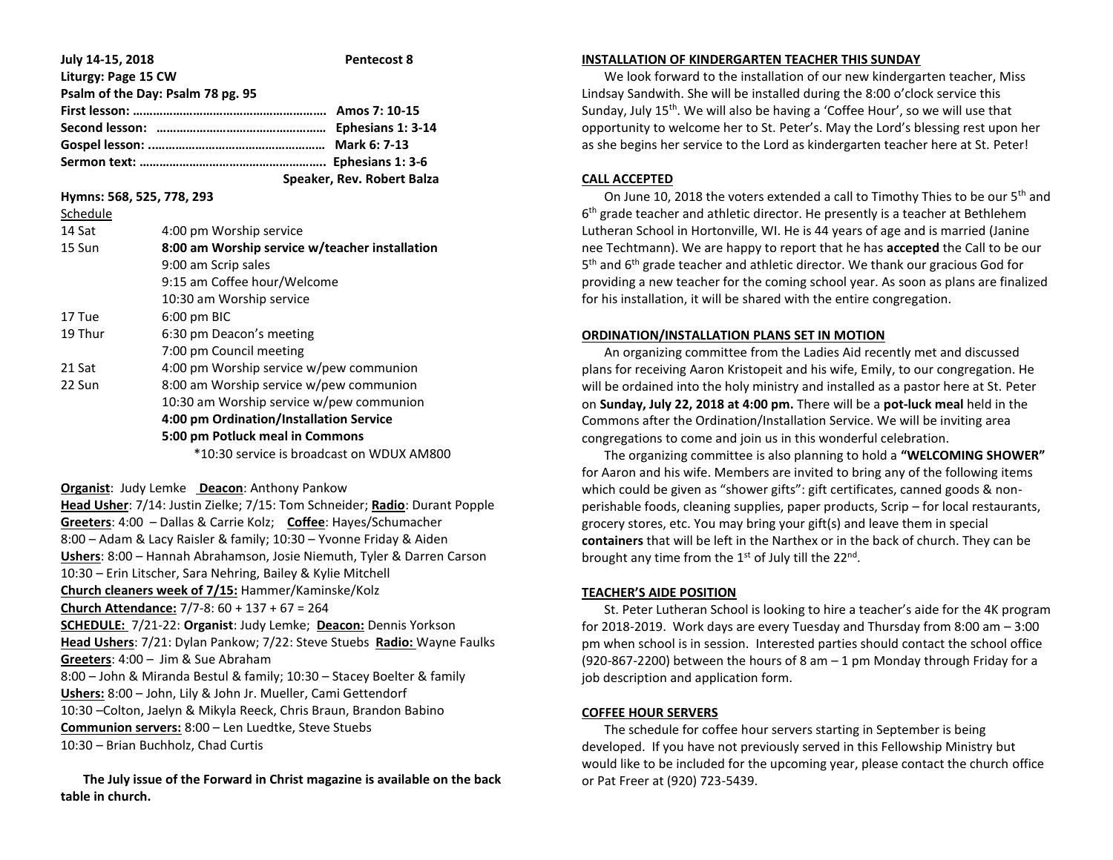| July 14-15, 2018                  | <b>Pentecost 8</b>         |
|-----------------------------------|----------------------------|
| Liturgy: Page 15 CW               |                            |
| Psalm of the Day: Psalm 78 pg. 95 |                            |
|                                   |                            |
|                                   |                            |
|                                   |                            |
|                                   |                            |
|                                   | Speaker, Rev. Robert Balza |

**Hymns: 568, 525, 778, 293**

| Schedule |                                                |
|----------|------------------------------------------------|
| 14 Sat   | 4:00 pm Worship service                        |
| 15 Sun   | 8:00 am Worship service w/teacher installation |
|          | 9:00 am Scrip sales                            |
|          | 9:15 am Coffee hour/Welcome                    |
|          | 10:30 am Worship service                       |
| 17 Tue   | $6:00$ pm BIC                                  |
| 19 Thur  | 6:30 pm Deacon's meeting                       |
|          | 7:00 pm Council meeting                        |
| 21 Sat   | 4:00 pm Worship service w/pew communion        |
| 22 Sun   | 8:00 am Worship service w/pew communion        |
|          | 10:30 am Worship service w/pew communion       |
|          | 4:00 pm Ordination/Installation Service        |
|          | 5:00 pm Potluck meal in Commons                |
|          | *10:30 service is broadcast on WDUX AM800      |

**Organist**: Judy Lemke **Deacon**: Anthony Pankow

**Head Usher**: 7/14: Justin Zielke; 7/15: Tom Schneider; **Radio**: Durant Popple **Greeters**: 4:00 – Dallas & Carrie Kolz; **Coffee**: Hayes/Schumacher 8:00 – Adam & Lacy Raisler & family; 10:30 – Yvonne Friday & Aiden **Ushers**: 8:00 – Hannah Abrahamson, Josie Niemuth, Tyler & Darren Carson 10:30 – Erin Litscher, Sara Nehring, Bailey & Kylie Mitchell **Church cleaners week of 7/15:** Hammer/Kaminske/Kolz **Church Attendance:** 7/7-8: 60 + 137 + 67 = 264 **SCHEDULE:** 7/21-22: **Organist**: Judy Lemke; **Deacon:** Dennis Yorkson **Head Ushers**: 7/21: Dylan Pankow; 7/22: Steve Stuebs **Radio:** Wayne Faulks **Greeters**: 4:00 – Jim & Sue Abraham 8:00 – John & Miranda Bestul & family; 10:30 – Stacey Boelter & family **Ushers:** 8:00 – John, Lily & John Jr. Mueller, Cami Gettendorf 10:30 –Colton, Jaelyn & Mikyla Reeck, Chris Braun, Brandon Babino **Communion servers:** 8:00 – Len Luedtke, Steve Stuebs 10:30 – Brian Buchholz, Chad Curtis

 **The July issue of the Forward in Christ magazine is available on the back table in church.**

#### **INSTALLATION OF KINDERGARTEN TEACHER THIS SUNDAY**

 We look forward to the installation of our new kindergarten teacher, Miss Lindsay Sandwith. She will be installed during the 8:00 o'clock service this Sunday, July 15<sup>th</sup>. We will also be having a 'Coffee Hour', so we will use that opportunity to welcome her to St. Peter's. May the Lord's blessing rest upon her as she begins her service to the Lord as kindergarten teacher here at St. Peter!

## **CALL ACCEPTED**

On June 10, 2018 the voters extended a call to Timothy Thies to be our 5<sup>th</sup> and 6<sup>th</sup> grade teacher and athletic director. He presently is a teacher at Bethlehem Lutheran School in Hortonville, WI. He is 44 years of age and is married (Janine nee Techtmann). We are happy to report that he has **accepted** the Call to be our 5<sup>th</sup> and 6<sup>th</sup> grade teacher and athletic director. We thank our gracious God for providing a new teacher for the coming school year. As soon as plans are finalized for his installation, it will be shared with the entire congregation.

## **ORDINATION/INSTALLATION PLANS SET IN MOTION**

 An organizing committee from the Ladies Aid recently met and discussed plans for receiving Aaron Kristopeit and his wife, Emily, to our congregation. He will be ordained into the holy ministry and installed as a pastor here at St. Peter on **Sunday, July 22, 2018 at 4:00 pm.** There will be a **pot-luck meal** held in the Commons after the Ordination/Installation Service. We will be inviting area congregations to come and join us in this wonderful celebration.

 The organizing committee is also planning to hold a **"WELCOMING SHOWER"**  for Aaron and his wife. Members are invited to bring any of the following items which could be given as "shower gifts": gift certificates, canned goods & nonperishable foods, cleaning supplies, paper products, Scrip – for local restaurants, grocery stores, etc. You may bring your gift(s) and leave them in special **containers** that will be left in the Narthex or in the back of church. They can be brought any time from the 1<sup>st</sup> of July till the 22<sup>nd</sup>.

# **TEACHER'S AIDE POSITION**

 St. Peter Lutheran School is looking to hire a teacher's aide for the 4K program for 2018-2019. Work days are every Tuesday and Thursday from 8:00 am – 3:00 pm when school is in session. Interested parties should contact the school office (920-867-2200) between the hours of 8 am  $-1$  pm Monday through Friday for a job description and application form.

# **COFFEE HOUR SERVERS**

 The schedule for coffee hour servers starting in September is being developed. If you have not previously served in this Fellowship Ministry but would like to be included for the upcoming year, please contact the church office or Pat Freer at (920) 723-5439.